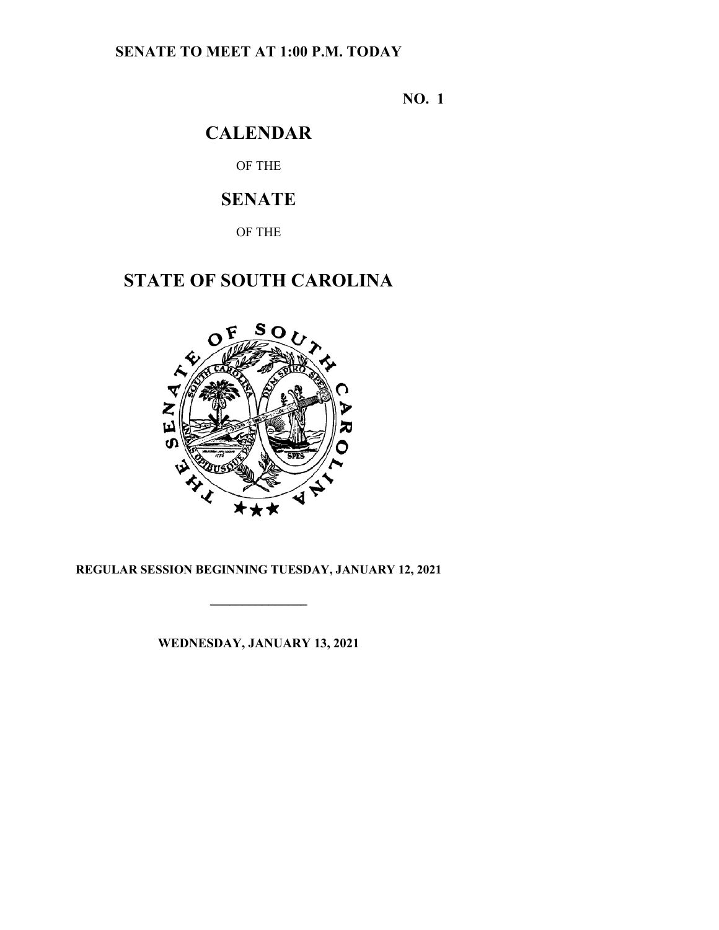### **SENATE TO MEET AT 1:00 P.M. TODAY**

**NO. 1**

### **CALENDAR**

OF THE

## **SENATE**

OF THE

# **STATE OF SOUTH CAROLINA**



#### **REGULAR SESSION BEGINNING TUESDAY, JANUARY 12, 2021**

**\_\_\_\_\_\_\_\_\_\_\_\_\_\_\_**

**WEDNESDAY, JANUARY 13, 2021**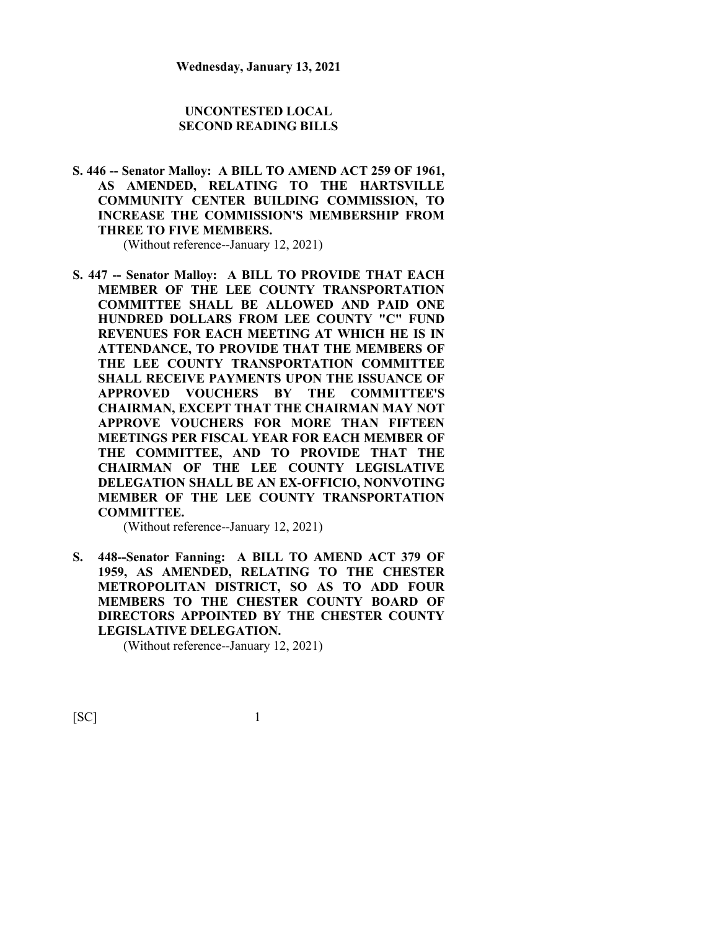#### **UNCONTESTED LOCAL SECOND READING BILLS**

**S. 446 -- Senator Malloy: A BILL TO AMEND ACT 259 OF 1961, AS AMENDED, RELATING TO THE HARTSVILLE COMMUNITY CENTER BUILDING COMMISSION, TO INCREASE THE COMMISSION'S MEMBERSHIP FROM THREE TO FIVE MEMBERS.**

(Without reference--January 12, 2021)

**S. 447 -- Senator Malloy: A BILL TO PROVIDE THAT EACH MEMBER OF THE LEE COUNTY TRANSPORTATION COMMITTEE SHALL BE ALLOWED AND PAID ONE HUNDRED DOLLARS FROM LEE COUNTY "C" FUND REVENUES FOR EACH MEETING AT WHICH HE IS IN ATTENDANCE, TO PROVIDE THAT THE MEMBERS OF THE LEE COUNTY TRANSPORTATION COMMITTEE SHALL RECEIVE PAYMENTS UPON THE ISSUANCE OF APPROVED VOUCHERS BY THE COMMITTEE'S CHAIRMAN, EXCEPT THAT THE CHAIRMAN MAY NOT APPROVE VOUCHERS FOR MORE THAN FIFTEEN MEETINGS PER FISCAL YEAR FOR EACH MEMBER OF THE COMMITTEE, AND TO PROVIDE THAT THE CHAIRMAN OF THE LEE COUNTY LEGISLATIVE DELEGATION SHALL BE AN EX-OFFICIO, NONVOTING MEMBER OF THE LEE COUNTY TRANSPORTATION COMMITTEE.**

(Without reference--January 12, 2021)

**S. 448--Senator Fanning: A BILL TO AMEND ACT 379 OF 1959, AS AMENDED, RELATING TO THE CHESTER METROPOLITAN DISTRICT, SO AS TO ADD FOUR MEMBERS TO THE CHESTER COUNTY BOARD OF DIRECTORS APPOINTED BY THE CHESTER COUNTY LEGISLATIVE DELEGATION.**

(Without reference--January 12, 2021)

 $[SC]$  1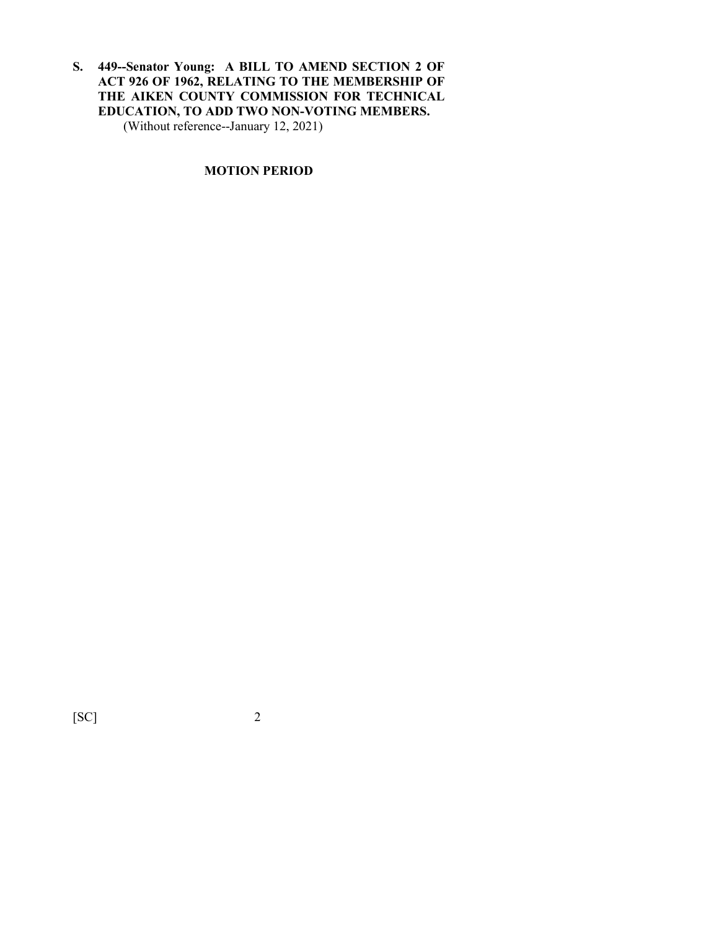**S. 449--Senator Young: A BILL TO AMEND SECTION 2 OF ACT 926 OF 1962, RELATING TO THE MEMBERSHIP OF THE AIKEN COUNTY COMMISSION FOR TECHNICAL EDUCATION, TO ADD TWO NON-VOTING MEMBERS.** (Without reference--January 12, 2021)

#### **MOTION PERIOD**